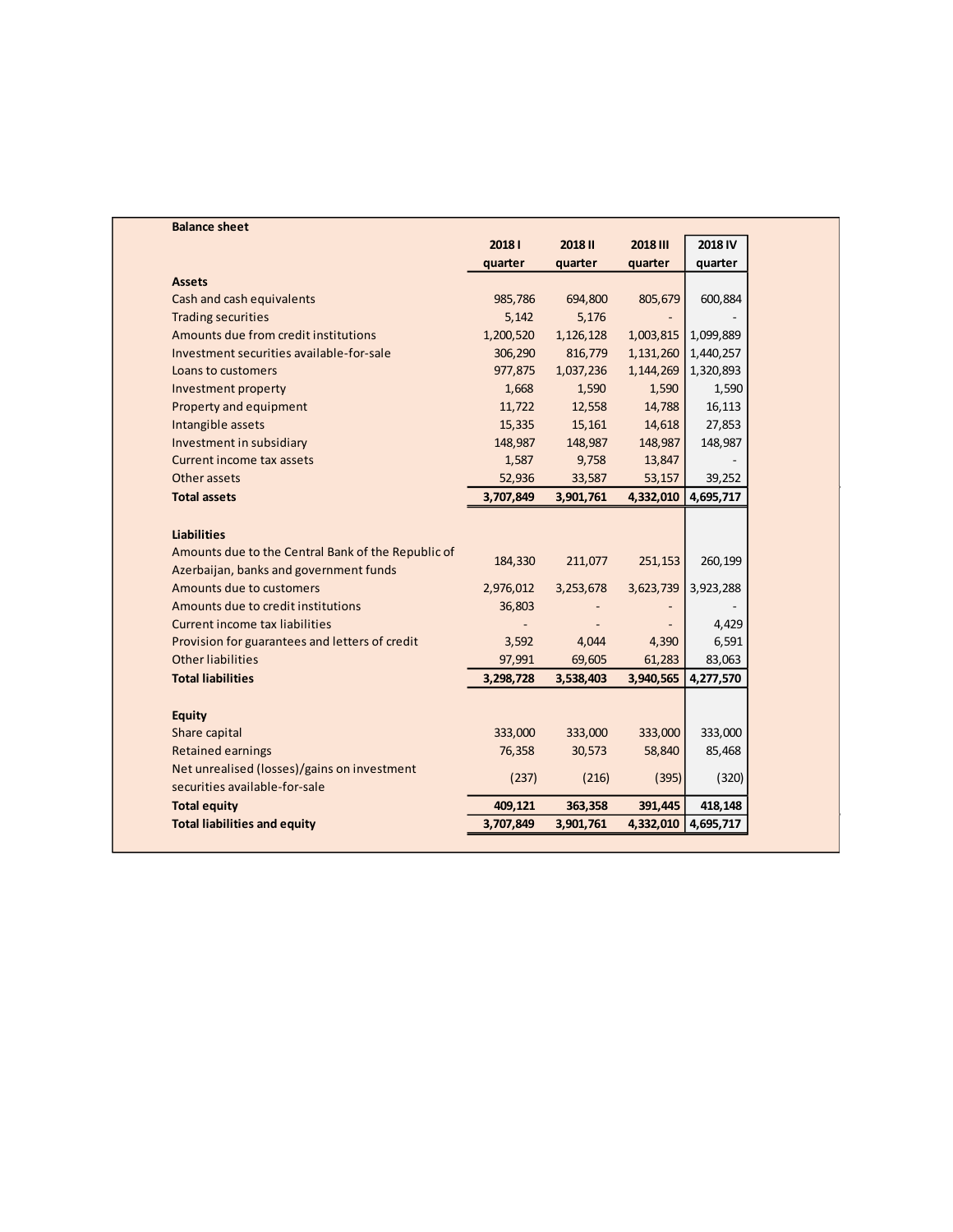| <b>Balance sheet</b>                               |           |           |                 |           |
|----------------------------------------------------|-----------|-----------|-----------------|-----------|
|                                                    | 20181     | 2018 II   | <b>2018 III</b> | 2018 IV   |
|                                                    | quarter   | quarter   | quarter         | quarter   |
| <b>Assets</b>                                      |           |           |                 |           |
| Cash and cash equivalents                          | 985,786   | 694,800   | 805,679         | 600,884   |
| <b>Trading securities</b>                          | 5,142     | 5,176     |                 |           |
| Amounts due from credit institutions               | 1,200,520 | 1,126,128 | 1,003,815       | 1,099,889 |
| Investment securities available-for-sale           | 306,290   | 816,779   | 1,131,260       | 1,440,257 |
| Loans to customers                                 | 977,875   | 1,037,236 | 1,144,269       | 1,320,893 |
| Investment property                                | 1,668     | 1,590     | 1,590           | 1,590     |
| Property and equipment                             | 11,722    | 12,558    | 14,788          | 16,113    |
| Intangible assets                                  | 15,335    | 15,161    | 14,618          | 27,853    |
| Investment in subsidiary                           | 148,987   | 148,987   | 148,987         | 148,987   |
| Current income tax assets                          | 1,587     | 9,758     | 13,847          |           |
| Other assets                                       | 52,936    | 33,587    | 53,157          | 39,252    |
| <b>Total assets</b>                                | 3,707,849 | 3,901,761 | 4,332,010       | 4,695,717 |
|                                                    |           |           |                 |           |
| <b>Liabilities</b>                                 |           |           |                 |           |
| Amounts due to the Central Bank of the Republic of |           |           |                 |           |
| Azerbaijan, banks and government funds             | 184,330   | 211,077   | 251,153         | 260,199   |
| Amounts due to customers                           | 2,976,012 | 3,253,678 | 3,623,739       | 3,923,288 |
| Amounts due to credit institutions                 | 36,803    |           |                 |           |
| Current income tax liabilities                     |           |           |                 | 4,429     |
| Provision for guarantees and letters of credit     | 3,592     | 4,044     | 4,390           | 6,591     |
| <b>Other liabilities</b>                           | 97,991    | 69,605    | 61,283          | 83,063    |
| <b>Total liabilities</b>                           | 3,298,728 | 3,538,403 | 3,940,565       | 4,277,570 |
|                                                    |           |           |                 |           |
| <b>Equity</b>                                      |           |           |                 |           |
| Share capital                                      | 333,000   | 333,000   | 333,000         | 333,000   |
| <b>Retained earnings</b>                           | 76,358    | 30,573    | 58,840          | 85,468    |
| Net unrealised (losses)/gains on investment        |           |           |                 |           |
| securities available-for-sale                      | (237)     | (216)     | (395)           | (320)     |
|                                                    |           |           | 391,445         | 418,148   |
| <b>Total equity</b>                                | 409,121   | 363,358   |                 |           |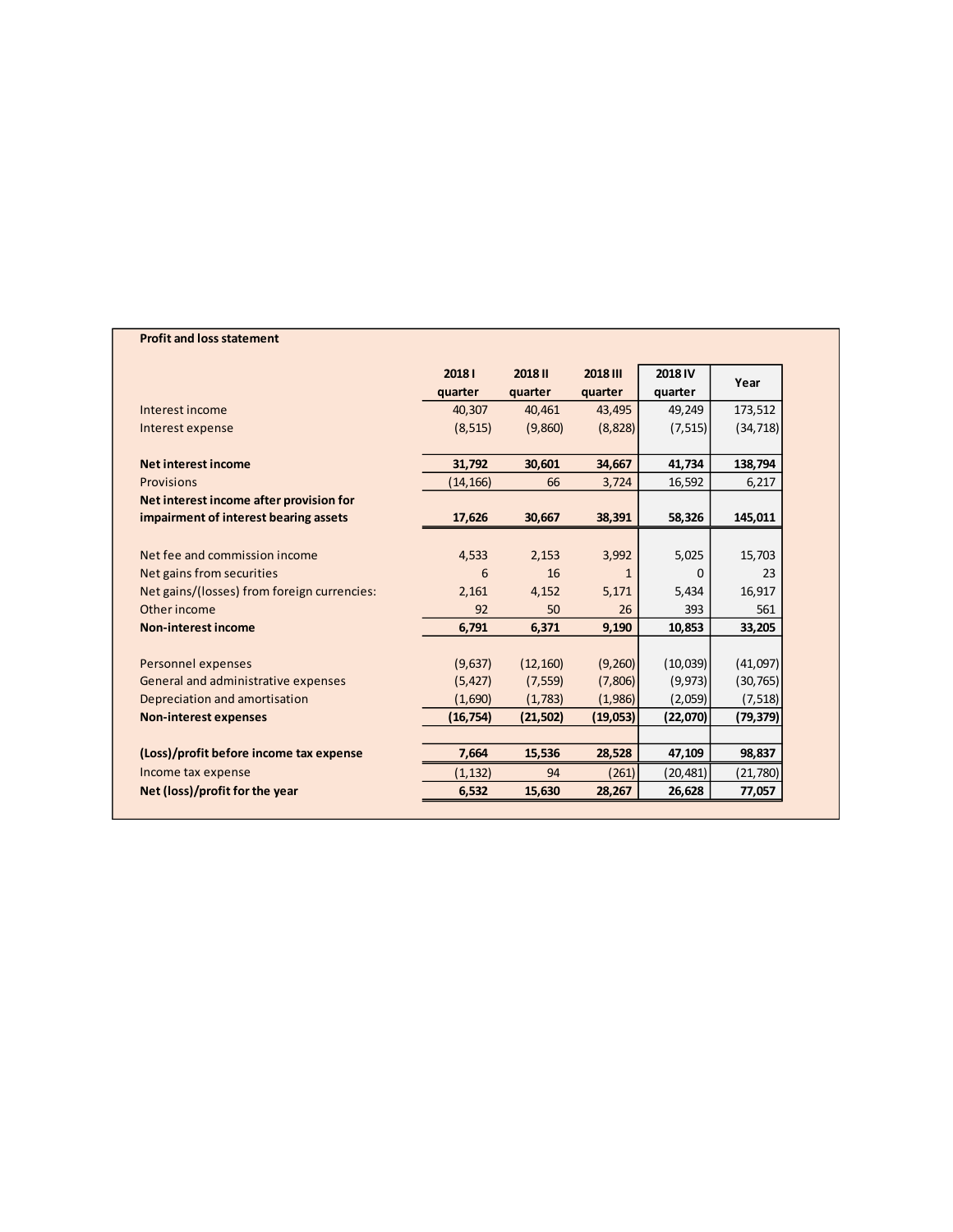## **Profit and loss statement**

|                                             | 20181     | 2018 III<br><b>2018 II</b> |              | 2018 IV   | Year      |  |
|---------------------------------------------|-----------|----------------------------|--------------|-----------|-----------|--|
|                                             | quarter   | quarter                    | quarter      | quarter   |           |  |
| Interest income                             | 40,307    | 40,461                     | 43,495       | 49,249    | 173,512   |  |
| Interest expense                            | (8, 515)  | (9,860)                    | (8,828)      | (7, 515)  | (34, 718) |  |
| Net interest income                         | 31,792    | 30,601                     | 34,667       | 41,734    | 138,794   |  |
| Provisions                                  | (14, 166) | 66                         | 3,724        | 16,592    | 6,217     |  |
| Net interest income after provision for     |           |                            |              |           |           |  |
| impairment of interest bearing assets       | 17,626    | 30,667                     | 38,391       | 58,326    | 145,011   |  |
|                                             |           |                            |              |           |           |  |
| Net fee and commission income               | 4,533     | 2,153                      | 3,992        | 5,025     | 15,703    |  |
| Net gains from securities                   | 6         | 16                         | $\mathbf{1}$ | 0         | 23        |  |
| Net gains/(losses) from foreign currencies: | 2,161     | 4,152                      | 5,171        | 5,434     | 16,917    |  |
| Other income                                | 92        | 50                         | 26           | 393       | 561       |  |
| <b>Non-interest income</b>                  | 6,791     | 6,371                      | 9,190        | 10,853    | 33,205    |  |
|                                             |           |                            |              |           |           |  |
| Personnel expenses                          | (9,637)   | (12, 160)                  | (9,260)      | (10,039)  | (41,097)  |  |
| General and administrative expenses         | (5, 427)  | (7, 559)                   | (7,806)      | (9, 973)  | (30, 765) |  |
| Depreciation and amortisation               | (1,690)   | (1,783)                    | (1,986)      | (2,059)   | (7, 518)  |  |
| <b>Non-interest expenses</b>                | (16, 754) | (21, 502)                  | (19,053)     | (22,070)  | (79, 379) |  |
|                                             |           |                            |              |           |           |  |
| (Loss)/profit before income tax expense     | 7,664     | 15,536                     | 28,528       | 47,109    | 98,837    |  |
| Income tax expense                          | (1, 132)  | 94                         | (261)        | (20, 481) | (21,780)  |  |
| Net (loss)/profit for the year              | 6,532     | 15,630                     | 28,267       | 26,628    | 77,057    |  |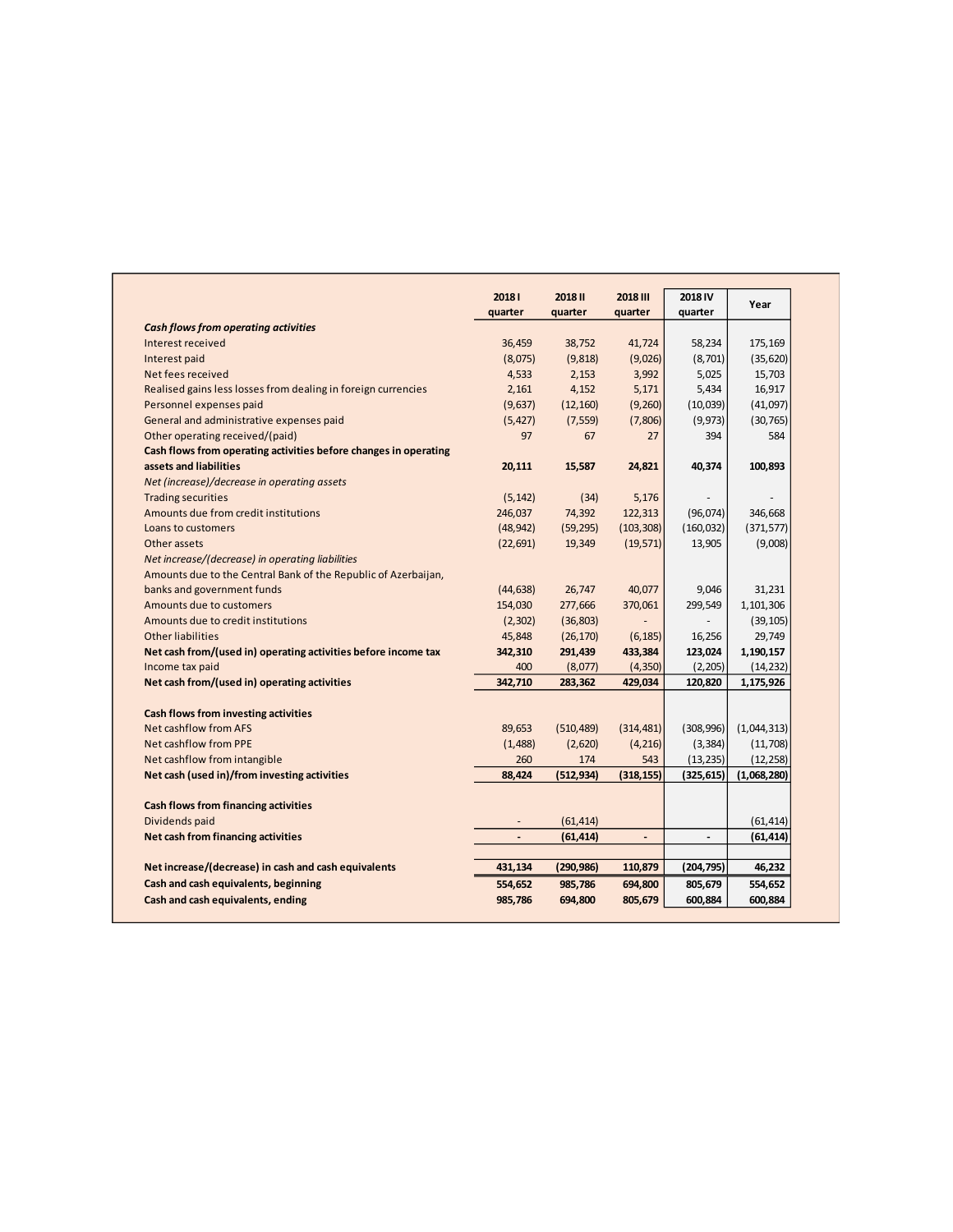|                                                                  | 20181<br>quarter | 2018 II<br>quarter | 2018 III<br>quarter      | 2018 IV<br>quarter | Year        |
|------------------------------------------------------------------|------------------|--------------------|--------------------------|--------------------|-------------|
| <b>Cash flows from operating activities</b>                      |                  |                    |                          |                    |             |
| Interest received                                                | 36,459           | 38,752             | 41,724                   | 58,234             | 175,169     |
| Interest paid                                                    | (8,075)          | (9,818)            | (9,026)                  | (8,701)            | (35, 620)   |
| Net fees received                                                | 4,533            | 2,153              | 3,992                    | 5,025              | 15,703      |
| Realised gains less losses from dealing in foreign currencies    | 2,161            | 4,152              | 5,171                    | 5,434              | 16,917      |
| Personnel expenses paid                                          | (9,637)          | (12, 160)          | (9,260)                  | (10,039)           | (41,097)    |
| General and administrative expenses paid                         | (5, 427)         | (7, 559)           | (7,806)                  | (9, 973)           | (30, 765)   |
| Other operating received/(paid)                                  | 97               | 67                 | 27                       | 394                | 584         |
| Cash flows from operating activities before changes in operating |                  |                    |                          |                    |             |
| assets and liabilities                                           | 20,111           | 15,587             | 24,821                   | 40,374             | 100,893     |
| Net (increase)/decrease in operating assets                      |                  |                    |                          |                    |             |
| <b>Trading securities</b>                                        | (5, 142)         | (34)               | 5,176                    |                    |             |
| Amounts due from credit institutions                             | 246,037          | 74,392             | 122,313                  | (96,074)           | 346,668     |
| Loans to customers                                               | (48, 942)        | (59, 295)          | (103, 308)               | (160, 032)         | (371, 577)  |
| Other assets                                                     | (22, 691)        | 19,349             | (19, 571)                | 13,905             | (9,008)     |
| Net increase/(decrease) in operating liabilities                 |                  |                    |                          |                    |             |
| Amounts due to the Central Bank of the Republic of Azerbaijan,   |                  |                    |                          |                    |             |
| banks and government funds                                       | (44, 638)        | 26,747             | 40,077                   | 9,046              | 31,231      |
| Amounts due to customers                                         | 154,030          | 277,666            | 370,061                  | 299,549            | 1,101,306   |
| Amounts due to credit institutions                               | (2,302)          | (36, 803)          | $\overline{\phantom{a}}$ |                    | (39, 105)   |
| Other liabilities                                                | 45,848           | (26, 170)          | (6, 185)                 | 16,256             | 29,749      |
| Net cash from/(used in) operating activities before income tax   | 342,310          | 291,439            | 433,384                  | 123,024            | 1,190,157   |
| Income tax paid                                                  | 400              | (8,077)            | (4, 350)                 | (2, 205)           | (14, 232)   |
| Net cash from/(used in) operating activities                     | 342,710          | 283,362            | 429,034                  | 120,820            | 1,175,926   |
| Cash flows from investing activities                             |                  |                    |                          |                    |             |
| Net cashflow from AFS                                            | 89,653           | (510, 489)         | (314, 481)               | (308, 996)         | (1,044,313) |
| Net cashflow from PPE                                            | (1,488)          | (2,620)            | (4, 216)                 | (3, 384)           | (11,708)    |
| Net cashflow from intangible                                     | 260              | 174                | 543                      | (13, 235)          | (12, 258)   |
| Net cash (used in)/from investing activities                     | 88.424           | (512, 934)         | (318, 155)               | (325, 615)         | (1,068,280) |
| Cash flows from financing activities                             |                  |                    |                          |                    |             |
| Dividends paid                                                   |                  | (61, 414)          |                          |                    | (61, 414)   |
| Net cash from financing activities                               |                  | (61, 414)          |                          |                    | (61, 414)   |
|                                                                  |                  |                    |                          |                    |             |
| Net increase/(decrease) in cash and cash equivalents             | 431,134          | (290, 986)         | 110,879                  | (204, 795)         | 46,232      |
| Cash and cash equivalents, beginning                             | 554,652          | 985,786            | 694,800                  | 805,679            | 554,652     |
| Cash and cash equivalents, ending                                | 985,786          | 694,800            | 805,679                  | 600,884            | 600,884     |